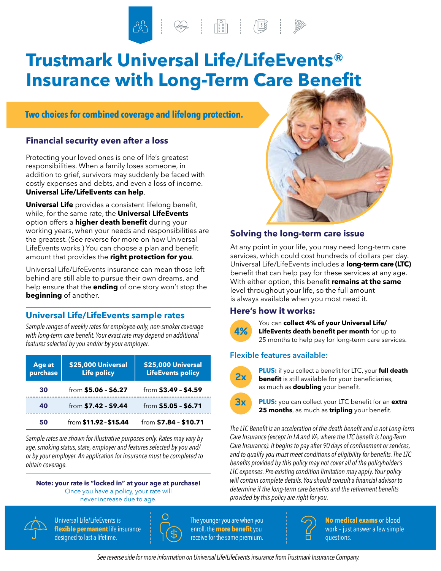# **Trustmark Universal Life/LifeEvents® Insurance with Long-Term Care Benefit**

# **Two choices for combined coverage and lifelong protection.**

# **Financial security even after a loss**

Protecting your loved ones is one of life's greatest responsibilities. When a family loses someone, in addition to grief, survivors may suddenly be faced with costly expenses and debts, and even a loss of income. **Universal Life/LifeEvents can help**.

**Universal Life** provides a consistent lifelong benefit, while, for the same rate, the **Universal LifeEvents** option offers a **higher death benefit** during your working years, when your needs and responsibilities are the greatest. (See reverse for more on how Universal LifeEvents works.) You can choose a plan and benefit amount that provides the **right protection for you**.

Universal Life/LifeEvents insurance can mean those left behind are still able to pursue their own dreams, and help ensure that the **ending** of one story won't stop the **beginning** of another.

# **Universal Life/LifeEvents sample rates**

*Sample ranges of weekly rates for employee-only, non-smoker coverage with long-term care benefit. Your exact rate may depend on additional features selected by you and/or by your employer.*

| Age at<br>purchase | \$25,000 Universal<br><b>Life policy</b> | \$25,000 Universal<br><b>LifeEvents policy</b> |
|--------------------|------------------------------------------|------------------------------------------------|
| 30                 | from \$5.06 - \$6.27                     | from \$3.49 - \$4.59                           |
| 40                 | from $$7.42 - $9.44$                     | from \$5.05 - \$6.71                           |
| 50                 | from \$11.92 - \$15.44                   | from $$7.84 - $10.71$                          |

*Sample rates are shown for illustrative purposes only. Rates may vary by age, smoking status, state, employer and features selected by you and/ or by your employer. An application for insurance must be completed to obtain coverage.*

### **Note: your rate is "locked in" at your age at purchase!**

Once you have a policy, your rate will never increase due to age.



 Universal Life/LifeEvents is **flexible permanent** life insurance designed to last a lifetime.



 The younger you are when you enroll, the **more benefit**you receive for the same premium.



# **Solving the long-term care issue**

At any point in your life, you may need long-term care services, which could cost hundreds of dollars per day. Universal Life/LifeEvents includes a **long-term care (LTC)** benefit that can help pay for these services at any age. With either option, this benefit **remains at the same** level throughout your life, so the full amount is always available when you most need it.

# **Here's how it works:**



**4%**<br>**4%** LifeEvents death benefit per month for up to 25 months to help pay for long-term care services.

# **Flexible features available:**



**PLUS:** if you collect a benefit for LTC, your **full death benefit** is still available for your beneficiaries, as much as **doubling** your benefit.



**3x PLUS:** you can collect your LTC benefit for an **extra 25 months**, as much as **tripling** your benefit.

*The LTC Benefit is an acceleration of the death benefit and is not Long-Term Care Insurance (except in LA and VA, where the LTC benefit is Long-Term Care Insurance). It begins to pay after 90 days of confinement or services, and to qualify you must meet conditions of eligibility for benefits. The LTC benefits provided by this policy may not cover all of the policyholder's LTC expenses. Pre-existing condition limitation may apply. Your policy will contain complete details. You should consult a financial advisor to determine if the long-term care benefits and the retirement benefits provided by this policy are right for you.*



**No medical exams** or blood work – just answer a few simple questions.

*See reverse side for more information on Universal Life/LifeEvents insurance from Trustmark Insurance Company.*